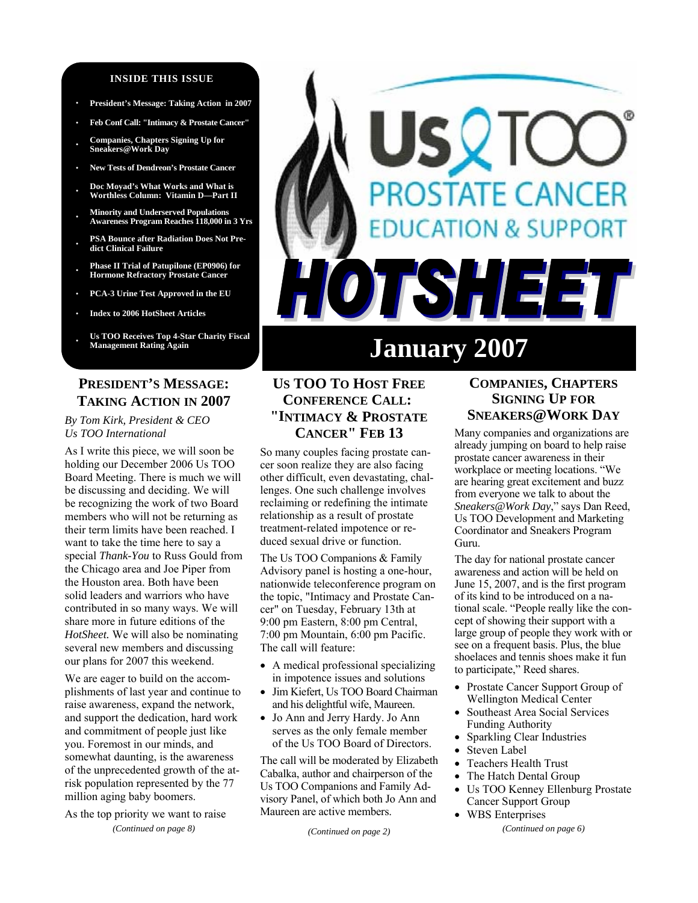#### **INSIDE THIS ISSUE**

- **· President's Message: Taking Action in 2007**
- **· Feb Conf Call: "Intimacy & Prostate Cancer"**

**· Companies, Chapters Signing Up for Sneakers@Work Day** 

- **· New Tests of Dendreon's Prostate Cancer**
- **· Doc Moyad's What Works and What is Worthless Column: Vitamin D—Part II**
- **· Minority and Underserved Populations Awareness Program Reaches 118,000 in 3 Yrs**
- **· PSA Bounce after Radiation Does Not Predict Clinical Failure**
- **· Phase II Trial of Patupilone (EP0906) for Hormone Refractory Prostate Cancer**
- **· PCA-3 Urine Test Approved in the EU**
- **· Index to 2006 HotSheet Articles**
- Us TOO Receives Top 4-Star Charity Fiscal<br>Management Rating Again

# **PRESIDENT'S MESSAGE: TAKING ACTION IN 2007**

#### *By Tom Kirk, President & CEO Us TOO International*

As I write this piece, we will soon be holding our December 2006 Us TOO Board Meeting. There is much we will be discussing and deciding. We will be recognizing the work of two Board members who will not be returning as their term limits have been reached. I want to take the time here to say a special *Thank-You* to Russ Gould from the Chicago area and Joe Piper from the Houston area. Both have been solid leaders and warriors who have contributed in so many ways. We will share more in future editions of the *HotSheet.* We will also be nominating several new members and discussing our plans for 2007 this weekend.

We are eager to build on the accomplishments of last year and continue to raise awareness, expand the network, and support the dedication, hard work and commitment of people just like you. Foremost in our minds, and somewhat daunting, is the awareness of the unprecedented growth of the atrisk population represented by the 77 million aging baby boomers.

As the top priority we want to raise *(Continued on page 8)* 

# **DSTATE CANCER DN & SUPPORT** TSHEE

# **January 2007**

# **US TOO TO HOST FREE CONFERENCE CALL: "INTIMACY & PROSTATE CANCER" FEB 13**

So many couples facing prostate cancer soon realize they are also facing other difficult, even devastating, challenges. One such challenge involves reclaiming or redefining the intimate relationship as a result of prostate treatment-related impotence or reduced sexual drive or function.

The Us TOO Companions & Family Advisory panel is hosting a one-hour, nationwide teleconference program on the topic, "Intimacy and Prostate Cancer" on Tuesday, February 13th at 9:00 pm Eastern, 8:00 pm Central, 7:00 pm Mountain, 6:00 pm Pacific. The call will feature:

- A medical professional specializing in impotence issues and solutions
- Jim Kiefert, Us TOO Board Chairman and his delightful wife, Maureen.
- Jo Ann and Jerry Hardy. Jo Ann serves as the only female member of the Us TOO Board of Directors.

The call will be moderated by Elizabeth Cabalka, author and chairperson of the Us TOO Companions and Family Advisory Panel, of which both Jo Ann and Maureen are active members.

*(Continued on page 2)* 

# **COMPANIES, CHAPTERS SIGNING UP FOR SNEAKERS@WORK DAY**

Many companies and organizations are already jumping on board to help raise prostate cancer awareness in their workplace or meeting locations. "We are hearing great excitement and buzz from everyone we talk to about the *Sneakers@Work Day*," says Dan Reed, Us TOO Development and Marketing Coordinator and Sneakers Program Guru.

The day for national prostate cancer awareness and action will be held on June 15, 2007, and is the first program of its kind to be introduced on a national scale. "People really like the concept of showing their support with a large group of people they work with or see on a frequent basis. Plus, the blue shoelaces and tennis shoes make it fun to participate," Reed shares.

- Prostate Cancer Support Group of Wellington Medical Center
- Southeast Area Social Services Funding Authority
- Sparkling Clear Industries
- Steven Label
- Teachers Health Trust
- The Hatch Dental Group
- Us TOO Kenney Ellenburg Prostate Cancer Support Group
- WBS Enterprises *(Continued on page 6)*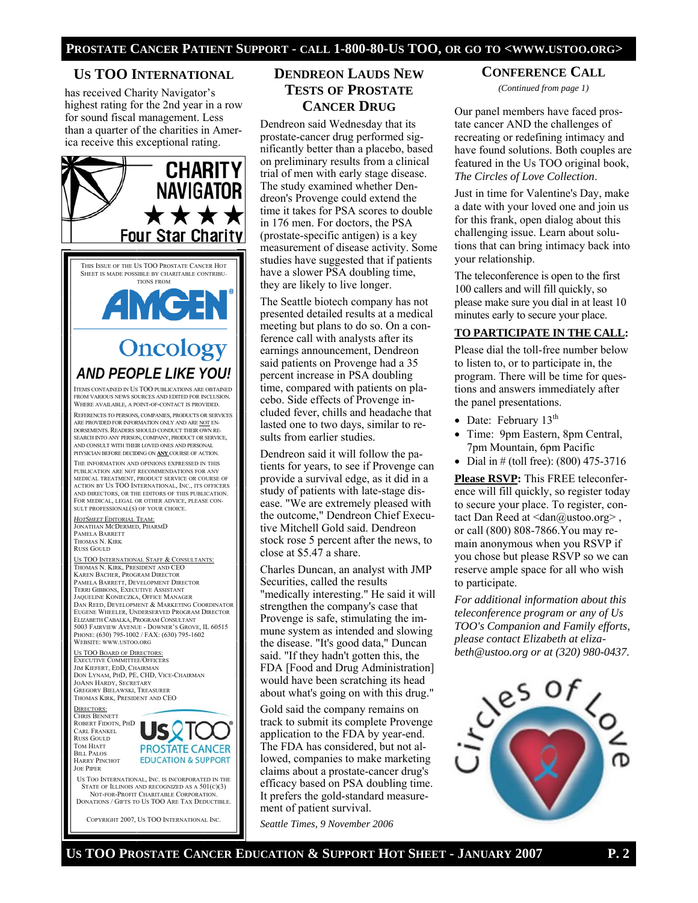#### **US TOO INTERNATIONAL**

has received Charity Navigator's highest rating for the 2nd year in a row for sound fiscal management. Less than a quarter of the charities in America receive this exceptional rating.



US TOO INTERNATIONAL, INC. IS INCORPORATED IN THE STATE OF ILLINOIS AND RECOGNIZED AS A 501(C)(3) NOT-FOR-PROFIT CHARITABLE CORPORATION. DONATIONS / GIFTS TO US TOO ARE TAX DEDUCTIBLE.

COPYRIGHT 2007, US TOO INTERNATIONAL INC.

# **DENDREON LAUDS NEW TESTS OF PROSTATE CANCER DRUG**

Dendreon said Wednesday that its prostate-cancer drug performed significantly better than a placebo, based on preliminary results from a clinical trial of men with early stage disease. The study examined whether Dendreon's Provenge could extend the time it takes for PSA scores to double in 176 men. For doctors, the PSA (prostate-specific antigen) is a key measurement of disease activity. Some studies have suggested that if patients have a slower PSA doubling time, they are likely to live longer.

The Seattle biotech company has not presented detailed results at a medical meeting but plans to do so. On a conference call with analysts after its earnings announcement, Dendreon said patients on Provenge had a 35 percent increase in PSA doubling time, compared with patients on placebo. Side effects of Provenge included fever, chills and headache that lasted one to two days, similar to results from earlier studies.

Dendreon said it will follow the patients for years, to see if Provenge can provide a survival edge, as it did in a study of patients with late-stage disease. "We are extremely pleased with the outcome," Dendreon Chief Executive Mitchell Gold said. Dendreon stock rose 5 percent after the news, to close at \$5.47 a share.

Charles Duncan, an analyst with JMP Securities, called the results "medically interesting." He said it will strengthen the company's case that Provenge is safe, stimulating the immune system as intended and slowing the disease. "It's good data," Duncan said. "If they hadn't gotten this, the FDA [Food and Drug Administration] would have been scratching its head about what's going on with this drug."

Gold said the company remains on track to submit its complete Provenge application to the FDA by year-end. The FDA has considered, but not allowed, companies to make marketing claims about a prostate-cancer drug's efficacy based on PSA doubling time. It prefers the gold-standard measurement of patient survival.

*Seattle Times, 9 November 2006* 

#### **CONFERENCE CALL**

*(Continued from page 1)* 

Our panel members have faced prostate cancer AND the challenges of recreating or redefining intimacy and have found solutions. Both couples are featured in the Us TOO original book, *The Circles of Love Collection*.

Just in time for Valentine's Day, make a date with your loved one and join us for this frank, open dialog about this challenging issue. Learn about solutions that can bring intimacy back into your relationship.

The teleconference is open to the first 100 callers and will fill quickly, so please make sure you dial in at least 10 minutes early to secure your place.

#### **TO PARTICIPATE IN THE CALL:**

Please dial the toll-free number below to listen to, or to participate in, the program. There will be time for questions and answers immediately after the panel presentations.

- Date: February  $13<sup>th</sup>$
- Time: 9pm Eastern, 8pm Central, 7pm Mountain, 6pm Pacific
- Dial in # (toll free):  $(800)$  475-3716

**Please RSVP:** This FREE teleconference will fill quickly, so register today to secure your place. To register, contact Dan Reed at  $\langle \text{dan}\rangle$  (algebra). or call (800) 808-7866.You may remain anonymous when you RSVP if you chose but please RSVP so we can reserve ample space for all who wish to participate.

*For additional information about this teleconference program or any of Us TOO's Companion and Family efforts, please contact Elizabeth at elizabeth@ustoo.org or at (320) 980-0437.*

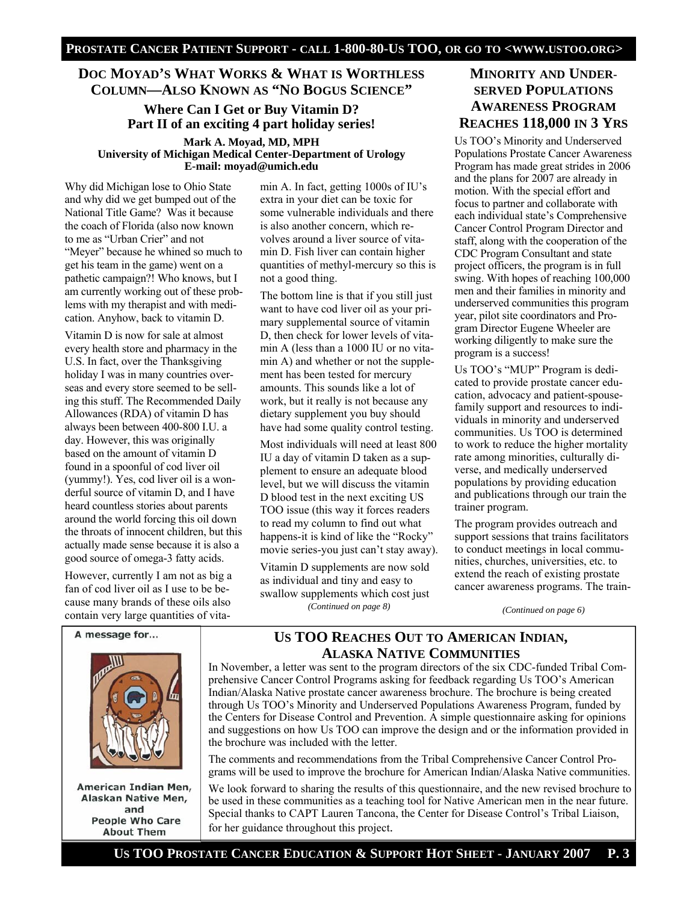# **DOC MOYAD'S WHAT WORKS & WHAT IS WORTHLESS COLUMN—ALSO KNOWN AS "NO BOGUS SCIENCE"**

# **Where Can I Get or Buy Vitamin D? Part II of an exciting 4 part holiday series! Mark A. Moyad, MD, MPH University of Michigan Medical Center-Department of Urology E-mail: moyad@umich.edu**

Why did Michigan lose to Ohio State and why did we get bumped out of the National Title Game? Was it because the coach of Florida (also now known to me as "Urban Crier" and not "Meyer" because he whined so much to get his team in the game) went on a pathetic campaign?! Who knows, but I am currently working out of these problems with my therapist and with medication. Anyhow, back to vitamin D.

Vitamin D is now for sale at almost every health store and pharmacy in the U.S. In fact, over the Thanksgiving holiday I was in many countries overseas and every store seemed to be selling this stuff. The Recommended Daily Allowances (RDA) of vitamin D has always been between 400-800 I.U. a day. However, this was originally based on the amount of vitamin D found in a spoonful of cod liver oil (yummy!). Yes, cod liver oil is a wonderful source of vitamin D, and I have heard countless stories about parents around the world forcing this oil down the throats of innocent children, but this actually made sense because it is also a good source of omega-3 fatty acids.

However, currently I am not as big a fan of cod liver oil as I use to be because many brands of these oils also contain very large quantities of vitamin A. In fact, getting 1000s of IU's extra in your diet can be toxic for some vulnerable individuals and there is also another concern, which revolves around a liver source of vitamin D. Fish liver can contain higher quantities of methyl-mercury so this is not a good thing.

The bottom line is that if you still just want to have cod liver oil as your primary supplemental source of vitamin D, then check for lower levels of vitamin A (less than a 1000 IU or no vitamin A) and whether or not the supplement has been tested for mercury amounts. This sounds like a lot of work, but it really is not because any dietary supplement you buy should have had some quality control testing.

Most individuals will need at least 800 IU a day of vitamin D taken as a supplement to ensure an adequate blood level, but we will discuss the vitamin D blood test in the next exciting US TOO issue (this way it forces readers to read my column to find out what happens-it is kind of like the "Rocky" movie series-you just can't stay away).

Vitamin D supplements are now sold as individual and tiny and easy to swallow supplements which cost just *(Continued on page 8)* 

# **MINORITY AND UNDER-SERVED POPULATIONS AWARENESS PROGRAM REACHES 118,000 IN 3 YRS**

Us TOO's Minority and Underserved Populations Prostate Cancer Awareness Program has made great strides in 2006 and the plans for 2007 are already in motion. With the special effort and focus to partner and collaborate with each individual state's Comprehensive Cancer Control Program Director and staff, along with the cooperation of the CDC Program Consultant and state project officers, the program is in full swing. With hopes of reaching 100,000 men and their families in minority and underserved communities this program year, pilot site coordinators and Program Director Eugene Wheeler are working diligently to make sure the program is a success!

Us TOO's "MUP" Program is dedicated to provide prostate cancer education, advocacy and patient-spousefamily support and resources to individuals in minority and underserved communities. Us TOO is determined to work to reduce the higher mortality rate among minorities, culturally diverse, and medically underserved populations by providing education and publications through our train the trainer program.

The program provides outreach and support sessions that trains facilitators to conduct meetings in local communities, churches, universities, etc. to extend the reach of existing prostate cancer awareness programs. The train-

*(Continued on page 6)* 



American Indian Men, Alaskan Native Men, and **People Who Care About Them** 

# **US TOO REACHES OUT TO AMERICAN INDIAN, ALASKA NATIVE COMMUNITIES**

In November, a letter was sent to the program directors of the six CDC-funded Tribal Comprehensive Cancer Control Programs asking for feedback regarding Us TOO's American Indian/Alaska Native prostate cancer awareness brochure. The brochure is being created through Us TOO's Minority and Underserved Populations Awareness Program, funded by the Centers for Disease Control and Prevention. A simple questionnaire asking for opinions and suggestions on how Us TOO can improve the design and or the information provided in the brochure was included with the letter.

The comments and recommendations from the Tribal Comprehensive Cancer Control Programs will be used to improve the brochure for American Indian/Alaska Native communities.

We look forward to sharing the results of this questionnaire, and the new revised brochure to be used in these communities as a teaching tool for Native American men in the near future. Special thanks to CAPT Lauren Tancona, the Center for Disease Control's Tribal Liaison, for her guidance throughout this project.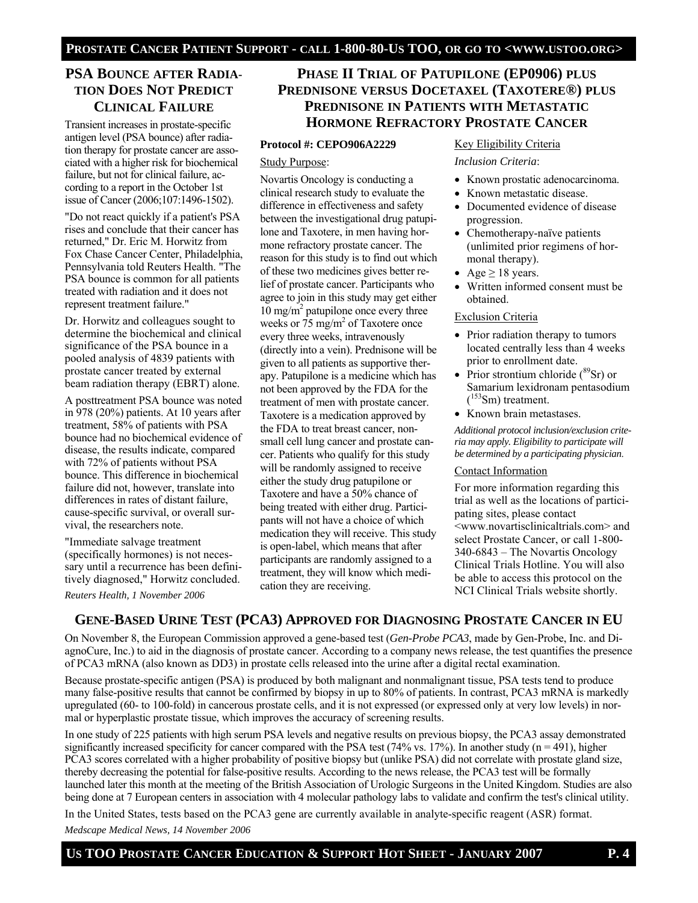# **PSA BOUNCE AFTER RADIA-TION DOES NOT PREDICT CLINICAL FAILURE**

Transient increases in prostate-specific antigen level (PSA bounce) after radiation therapy for prostate cancer are associated with a higher risk for biochemical failure, but not for clinical failure, according to a report in the October 1st issue of Cancer (2006;107:1496-1502).

"Do not react quickly if a patient's PSA rises and conclude that their cancer has returned," Dr. Eric M. Horwitz from Fox Chase Cancer Center, Philadelphia, Pennsylvania told Reuters Health. "The PSA bounce is common for all patients treated with radiation and it does not represent treatment failure."

Dr. Horwitz and colleagues sought to determine the biochemical and clinical significance of the PSA bounce in a pooled analysis of 4839 patients with prostate cancer treated by external beam radiation therapy (EBRT) alone.

A posttreatment PSA bounce was noted in 978 (20%) patients. At 10 years after treatment, 58% of patients with PSA bounce had no biochemical evidence of disease, the results indicate, compared with 72% of patients without PSA bounce. This difference in biochemical failure did not, however, translate into differences in rates of distant failure, cause-specific survival, or overall survival, the researchers note.

"Immediate salvage treatment (specifically hormones) is not necessary until a recurrence has been definitively diagnosed," Horwitz concluded.

*Reuters Health, 1 November 2006*

# **PHASE II TRIAL OF PATUPILONE (EP0906) PLUS PREDNISONE VERSUS DOCETAXEL (TAXOTERE®) PLUS PREDNISONE IN PATIENTS WITH METASTATIC HORMONE REFRACTORY PROSTATE CANCER**

#### **Protocol #: CEPO906A2229**

#### Study Purpose:

Novartis Oncology is conducting a clinical research study to evaluate the difference in effectiveness and safety between the investigational drug patupilone and Taxotere, in men having hormone refractory prostate cancer. The reason for this study is to find out which of these two medicines gives better relief of prostate cancer. Participants who agree to join in this study may get either 10 mg/m2 patupilone once every three weeks or 75 mg/m<sup>2</sup> of Taxotere once every three weeks, intravenously (directly into a vein). Prednisone will be given to all patients as supportive therapy. Patupilone is a medicine which has not been approved by the FDA for the treatment of men with prostate cancer. Taxotere is a medication approved by the FDA to treat breast cancer, nonsmall cell lung cancer and prostate cancer. Patients who qualify for this study will be randomly assigned to receive either the study drug patupilone or Taxotere and have a 50% chance of being treated with either drug. Participants will not have a choice of which medication they will receive. This study is open-label, which means that after participants are randomly assigned to a treatment, they will know which medication they are receiving.

#### Key Eligibility Criteria

#### *Inclusion Criteria*:

- Known prostatic adenocarcinoma.
- Known metastatic disease.
- Documented evidence of disease progression.
- Chemotherapy-naïve patients (unlimited prior regimens of hormonal therapy).
- Age  $\geq$  18 years.
- Written informed consent must be obtained.

#### Exclusion Criteria

- Prior radiation therapy to tumors located centrally less than 4 weeks prior to enrollment date.
- Prior strontium chloride  $(^{89}Sr)$  or Samarium lexidronam pentasodium  $(^{153}Sm)$  treatment.
- Known brain metastases.

*Additional protocol inclusion/exclusion criteria may apply. Eligibility to participate will be determined by a participating physician*.

#### Contact Information

For more information regarding this trial as well as the locations of participating sites, please contact <www.novartisclinicaltrials.com> and select Prostate Cancer, or call 1-800- 340-6843 – The Novartis Oncology Clinical Trials Hotline. You will also be able to access this protocol on the NCI Clinical Trials website shortly.

## **GENE-BASED URINE TEST (PCA3) APPROVED FOR DIAGNOSING PROSTATE CANCER IN EU**

On November 8, the European Commission approved a gene-based test (*Gen-Probe PCA3*, made by Gen-Probe, Inc. and DiagnoCure, Inc.) to aid in the diagnosis of prostate cancer. According to a company news release, the test quantifies the presence of PCA3 mRNA (also known as DD3) in prostate cells released into the urine after a digital rectal examination.

Because prostate-specific antigen (PSA) is produced by both malignant and nonmalignant tissue, PSA tests tend to produce many false-positive results that cannot be confirmed by biopsy in up to 80% of patients. In contrast, PCA3 mRNA is markedly upregulated (60- to 100-fold) in cancerous prostate cells, and it is not expressed (or expressed only at very low levels) in normal or hyperplastic prostate tissue, which improves the accuracy of screening results.

In one study of 225 patients with high serum PSA levels and negative results on previous biopsy, the PCA3 assay demonstrated significantly increased specificity for cancer compared with the PSA test  $(74\% \text{ vs. } 17\%)$ . In another study  $(n = 491)$ , higher PCA3 scores correlated with a higher probability of positive biopsy but (unlike PSA) did not correlate with prostate gland size, thereby decreasing the potential for false-positive results. According to the news release, the PCA3 test will be formally launched later this month at the meeting of the British Association of Urologic Surgeons in the United Kingdom. Studies are also being done at 7 European centers in association with 4 molecular pathology labs to validate and confirm the test's clinical utility.

In the United States, tests based on the PCA3 gene are currently available in analyte-specific reagent (ASR) format.

*Medscape Medical News, 14 November 2006*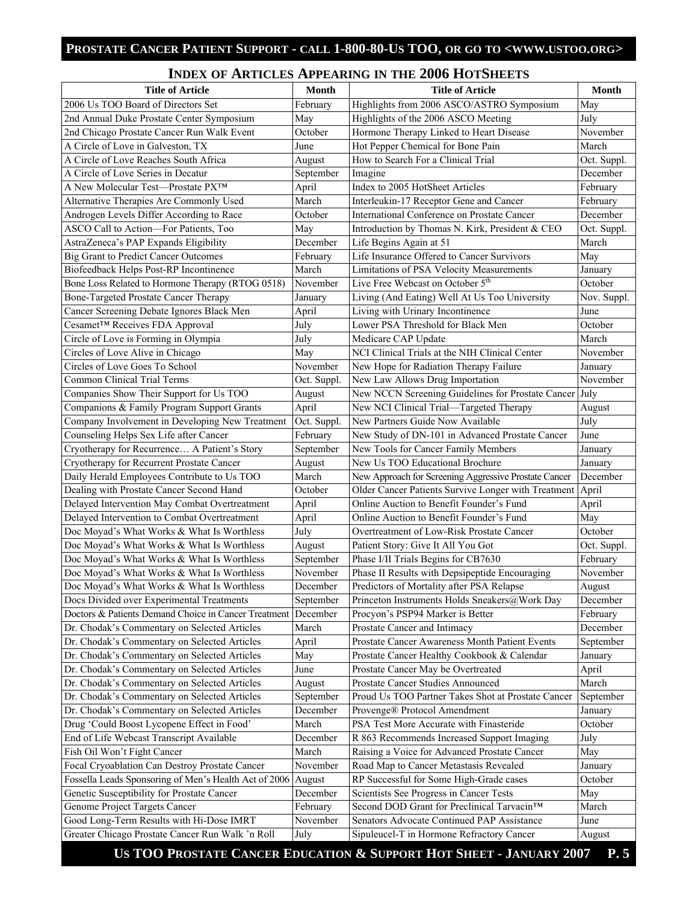## **INDEX OF ARTICLES APPEARING IN THE 2006 HOTSHEETS**

| <b>Title of Article</b>                                                                       | Month       | <b>Title of Article</b>                               | <b>Month</b> |
|-----------------------------------------------------------------------------------------------|-------------|-------------------------------------------------------|--------------|
| 2006 Us TOO Board of Directors Set                                                            | February    | Highlights from 2006 ASCO/ASTRO Symposium             | May          |
| 2nd Annual Duke Prostate Center Symposium                                                     | May         | Highlights of the 2006 ASCO Meeting                   | July         |
| 2nd Chicago Prostate Cancer Run Walk Event                                                    | October     | Hormone Therapy Linked to Heart Disease               | November     |
| A Circle of Love in Galveston, TX                                                             | June        | Hot Pepper Chemical for Bone Pain                     | March        |
| A Circle of Love Reaches South Africa                                                         | August      | How to Search For a Clinical Trial                    | Oct. Suppl.  |
| A Circle of Love Series in Decatur                                                            | September   | Imagine                                               | December     |
| A New Molecular Test-Prostate PX™                                                             | April       | Index to 2005 HotSheet Articles                       | February     |
| Alternative Therapies Are Commonly Used                                                       | March       | Interleukin-17 Receptor Gene and Cancer               | February     |
| Androgen Levels Differ According to Race                                                      | October     | International Conference on Prostate Cancer           | December     |
| ASCO Call to Action-For Patients, Too                                                         | May         | Introduction by Thomas N. Kirk, President & CEO       | Oct. Suppl.  |
| AstraZeneca's PAP Expands Eligibility                                                         | December    | Life Begins Again at 51                               | March        |
| <b>Big Grant to Predict Cancer Outcomes</b>                                                   | February    | Life Insurance Offered to Cancer Survivors            | May          |
| Biofeedback Helps Post-RP Incontinence                                                        | March       | Limitations of PSA Velocity Measurements              | January      |
| Bone Loss Related to Hormone Therapy (RTOG 0518)                                              | November    | Live Free Webcast on October 5 <sup>th</sup>          | October      |
| Bone-Targeted Prostate Cancer Therapy                                                         | January     | Living (And Eating) Well At Us Too University         | Nov. Suppl.  |
| Cancer Screening Debate Ignores Black Men                                                     | April       | Living with Urinary Incontinence                      | June         |
| Cesamet™ Receives FDA Approval                                                                | July        | Lower PSA Threshold for Black Men                     | October      |
| Circle of Love is Forming in Olympia                                                          | July        | Medicare CAP Update                                   | March        |
| Circles of Love Alive in Chicago                                                              | May         | NCI Clinical Trials at the NIH Clinical Center        | November     |
| Circles of Love Goes To School                                                                | November    | New Hope for Radiation Therapy Failure                | January      |
| Common Clinical Trial Terms                                                                   | Oct. Suppl. | New Law Allows Drug Importation                       | November     |
| Companies Show Their Support for Us TOO                                                       | August      | New NCCN Screening Guidelines for Prostate Cancer     | July         |
| Companions & Family Program Support Grants                                                    | April       | New NCI Clinical Trial-Targeted Therapy               | August       |
| Company Involvement in Developing New Treatment                                               | Oct. Suppl. | New Partners Guide Now Available                      | July         |
| Counseling Helps Sex Life after Cancer                                                        | February    | New Study of DN-101 in Advanced Prostate Cancer       | June         |
| Cryotherapy for Recurrence A Patient's Story                                                  | September   | New Tools for Cancer Family Members                   | January      |
| Cryotherapy for Recurrent Prostate Cancer                                                     | August      | New Us TOO Educational Brochure                       | January      |
| Daily Herald Employees Contribute to Us TOO                                                   | March       | New Approach for Screening Aggressive Prostate Cancer | December     |
| Dealing with Prostate Cancer Second Hand                                                      | October     | Older Cancer Patients Survive Longer with Treatment   | April        |
| Delayed Intervention May Combat Overtreatment                                                 | April       | Online Auction to Benefit Founder's Fund              | April        |
| Delayed Intervention to Combat Overtreatment                                                  | April       | Online Auction to Benefit Founder's Fund              | May          |
| Doc Moyad's What Works & What Is Worthless                                                    | July        | Overtreatment of Low-Risk Prostate Cancer             | October      |
| Doc Moyad's What Works & What Is Worthless                                                    | August      | Patient Story: Give It All You Got                    | Oct. Suppl.  |
| Doc Moyad's What Works & What Is Worthless                                                    | September   | Phase I/II Trials Begins for CB7630                   | February     |
| Doc Moyad's What Works & What Is Worthless                                                    | November    | Phase II Results with Depsipeptide Encouraging        | November     |
| Doc Moyad's What Works & What Is Worthless                                                    | December    | Predictors of Mortality after PSA Relapse             | August       |
| Docs Divided over Experimental Treatments                                                     | September   | Princeton Instruments Holds Sneakers@Work Day         | December     |
| Doctors & Patients Demand Choice in Cancer Treatment December                                 |             | Procyon's PSP94 Marker is Better                      | February     |
| Dr. Chodak's Commentary on Selected Articles                                                  | March       | Prostate Cancer and Intimacy                          | December     |
| Dr. Chodak's Commentary on Selected Articles                                                  | April       | Prostate Cancer Awareness Month Patient Events        | September    |
| Dr. Chodak's Commentary on Selected Articles                                                  | May         | Prostate Cancer Healthy Cookbook & Calendar           | January      |
| Dr. Chodak's Commentary on Selected Articles                                                  | June        | Prostate Cancer May be Overtreated                    | April        |
| Dr. Chodak's Commentary on Selected Articles                                                  | August      | Prostate Cancer Studies Announced                     | March        |
| Dr. Chodak's Commentary on Selected Articles                                                  | September   | Proud Us TOO Partner Takes Shot at Prostate Cancer    | September    |
| Dr. Chodak's Commentary on Selected Articles                                                  | December    | Provenge® Protocol Amendment                          | January      |
| Drug 'Could Boost Lycopene Effect in Food'                                                    | March       | PSA Test More Accurate with Finasteride               | October      |
| End of Life Webcast Transcript Available                                                      | December    | R 863 Recommends Increased Support Imaging            | July         |
| Fish Oil Won't Fight Cancer                                                                   | March       | Raising a Voice for Advanced Prostate Cancer          | May          |
| Focal Cryoablation Can Destroy Prostate Cancer                                                | November    | Road Map to Cancer Metastasis Revealed                | January      |
| Fossella Leads Sponsoring of Men's Health Act of 2006                                         | August      | RP Successful for Some High-Grade cases               | October      |
| Genetic Susceptibility for Prostate Cancer                                                    | December    | Scientists See Progress in Cancer Tests               | May          |
| Genome Project Targets Cancer                                                                 | February    | Second DOD Grant for Preclinical Tarvacin™            | March        |
| Good Long-Term Results with Hi-Dose IMRT                                                      | November    | Senators Advocate Continued PAP Assistance            | June         |
| Greater Chicago Prostate Cancer Run Walk 'n Roll                                              | July        | Sipuleucel-T in Hormone Refractory Cancer             | August       |
| $\mathbf{H}$ a $\mathbf{H}$ $\mathbf{\Omega}$ $\mathbf{\Omega}$ $\mathbf{H}$ and $\mathbf{H}$ |             |                                                       |              |

 **US TOO PROSTATE CANCER EDUCATION & SUPPORT HOT SHEET - JANUARY 2007 P. 5**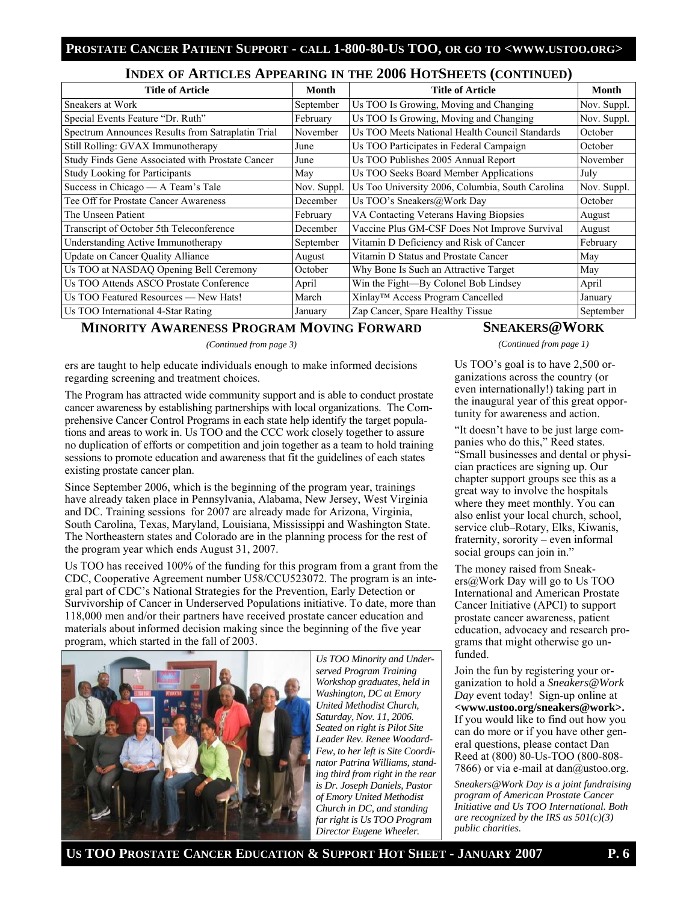#### **INDEX OF ARTICLES APPEARING IN THE 2006 HOTSHEETS (CONTINUED)**

| <b>Title of Article</b>                           | Month       | <b>Title of Article</b>                          | Month       |
|---------------------------------------------------|-------------|--------------------------------------------------|-------------|
| Sneakers at Work                                  | September   | Us TOO Is Growing, Moving and Changing           | Nov. Suppl. |
| Special Events Feature "Dr. Ruth"                 | February    | Us TOO Is Growing, Moving and Changing           | Nov. Suppl. |
| Spectrum Announces Results from Satraplatin Trial | November    | Us TOO Meets National Health Council Standards   | October     |
| Still Rolling: GVAX Immunotherapy                 | June        | Us TOO Participates in Federal Campaign          | October     |
| Study Finds Gene Associated with Prostate Cancer  | June        | Us TOO Publishes 2005 Annual Report              | November    |
| <b>Study Looking for Participants</b>             | May         | Us TOO Seeks Board Member Applications           | July        |
| Success in Chicago — A Team's Tale                | Nov. Suppl. | Us Too University 2006, Columbia, South Carolina | Nov. Suppl. |
| Tee Off for Prostate Cancer Awareness             | December    | Us TOO's Sneakers@Work Day                       | October     |
| The Unseen Patient                                | February    | VA Contacting Veterans Having Biopsies           | August      |
| Transcript of October 5th Teleconference          | December    | Vaccine Plus GM-CSF Does Not Improve Survival    | August      |
| Understanding Active Immunotherapy                | September   | Vitamin D Deficiency and Risk of Cancer          | February    |
| Update on Cancer Quality Alliance                 | August      | Vitamin D Status and Prostate Cancer             | May         |
| Us TOO at NASDAQ Opening Bell Ceremony            | October     | Why Bone Is Such an Attractive Target            | May         |
| Us TOO Attends ASCO Prostate Conference           | April       | Win the Fight-By Colonel Bob Lindsey             | April       |
| Us TOO Featured Resources — New Hats!             | March       | Xinlay™ Access Program Cancelled                 | January     |
| Us TOO International 4-Star Rating                | January     | Zap Cancer, Spare Healthy Tissue                 | September   |

# **MINORITY AWARENESS PROGRAM MOVING FORWARD**

*(Continued from page 3)* 

ers are taught to help educate individuals enough to make informed decisions regarding screening and treatment choices.

The Program has attracted wide community support and is able to conduct prostate cancer awareness by establishing partnerships with local organizations. The Comprehensive Cancer Control Programs in each state help identify the target populations and areas to work in. Us TOO and the CCC work closely together to assure no duplication of efforts or competition and join together as a team to hold training sessions to promote education and awareness that fit the guidelines of each states existing prostate cancer plan.

Since September 2006, which is the beginning of the program year, trainings have already taken place in Pennsylvania, Alabama, New Jersey, West Virginia and DC. Training sessions for 2007 are already made for Arizona, Virginia, South Carolina, Texas, Maryland, Louisiana, Mississippi and Washington State. The Northeastern states and Colorado are in the planning process for the rest of the program year which ends August 31, 2007.

Us TOO has received 100% of the funding for this program from a grant from the CDC, Cooperative Agreement number U58/CCU523072. The program is an integral part of CDC's National Strategies for the Prevention, Early Detection or Survivorship of Cancer in Underserved Populations initiative. To date, more than 118,000 men and/or their partners have received prostate cancer education and materials about informed decision making since the beginning of the five year program, which started in the fall of 2003.



*Us TOO Minority and Underserved Program Training Workshop graduates, held in Washington, DC at Emory United Methodist Church, Saturday, Nov. 11, 2006. Seated on right is Pilot Site Leader Rev. Renee Woodard-Few, to her left is Site Coordinator Patrina Williams, standing third from right in the rear is Dr. Joseph Daniels, Pastor of Emory United Methodist Church in DC, and standing far right is Us TOO Program Director Eugene Wheeler.* 

# **SNEAKERS@WORK**

*(Continued from page 1)* 

Us TOO's goal is to have 2,500 organizations across the country (or even internationally!) taking part in the inaugural year of this great opportunity for awareness and action.

"It doesn't have to be just large companies who do this," Reed states. "Small businesses and dental or physician practices are signing up. Our chapter support groups see this as a great way to involve the hospitals where they meet monthly. You can also enlist your local church, school, service club–Rotary, Elks, Kiwanis, fraternity, sorority – even informal social groups can join in."

The money raised from Sneakers@Work Day will go to Us TOO International and American Prostate Cancer Initiative (APCI) to support prostate cancer awareness, patient education, advocacy and research programs that might otherwise go unfunded.

Join the fun by registering your organization to hold a *Sneakers@Work Day* event today! Sign-up online at **<www.ustoo.org/sneakers@work>.** If you would like to find out how you can do more or if you have other general questions, please contact Dan Reed at (800) 80-Us-TOO (800-808- 7866) or via e-mail at dan $@$ ustoo.org.

*Sneakers@Work Day is a joint fundraising program of American Prostate Cancer Initiative and Us TOO International. Both are recognized by the IRS as 501(c)(3) public charities.*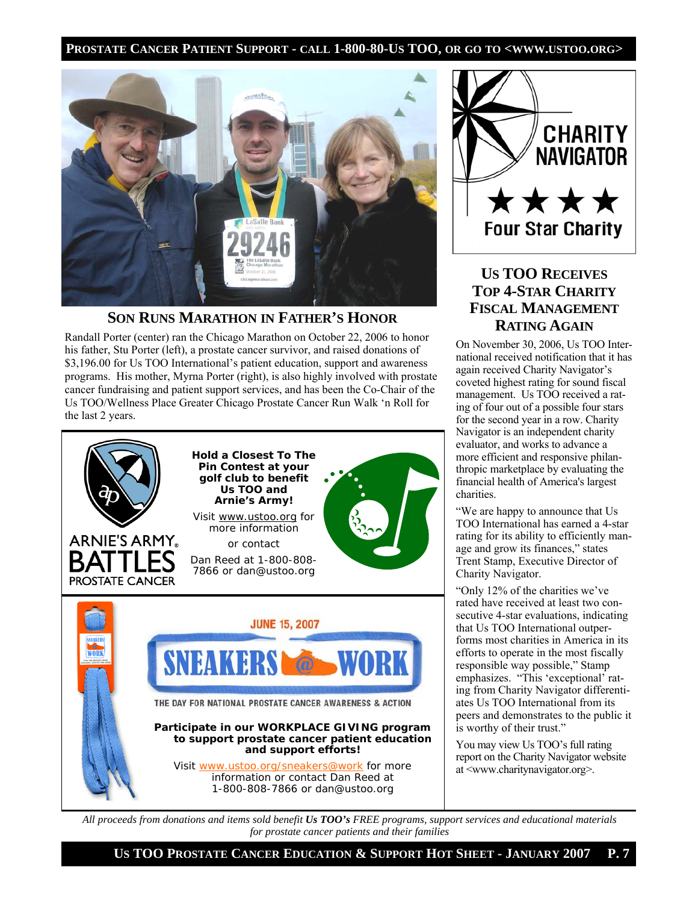

# **SON RUNS MARATHON IN FATHER'S HONOR**

Randall Porter (center) ran the Chicago Marathon on October 22, 2006 to honor his father, Stu Porter (left), a prostate cancer survivor, and raised donations of \$3,196.00 for Us TOO International's patient education, support and awareness programs. His mother, Myrna Porter (right), is also highly involved with prostate cancer fundraising and patient support services, and has been the Co-Chair of the Us TOO/Wellness Place Greater Chicago Prostate Cancer Run Walk 'n Roll for the last 2 years.





# **US TOO RECEIVES TOP 4-STAR CHARITY FISCAL MANAGEMENT RATING AGAIN**

On November 30, 2006, Us TOO International received notification that it has again received Charity Navigator's coveted highest rating for sound fiscal management. Us TOO received a rating of four out of a possible four stars for the second year in a row. Charity Navigator is an independent charity evaluator, and works to advance a more efficient and responsive philanthropic marketplace by evaluating the financial health of America's largest charities.

"We are happy to announce that Us TOO International has earned a 4-star rating for its ability to efficiently manage and grow its finances," states Trent Stamp, Executive Director of Charity Navigator.

"Only 12% of the charities we've rated have received at least two consecutive 4-star evaluations, indicating that Us TOO International outperforms most charities in America in its efforts to operate in the most fiscally responsible way possible," Stamp emphasizes. "This 'exceptional' rating from Charity Navigator differentiates Us TOO International from its peers and demonstrates to the public it is worthy of their trust."

You may view Us TOO's full rating report on the Charity Navigator website at <www.charitynavigator.org>.

*All proceeds from donations and items sold benefit Us TOO's FREE programs, support services and educational materials for prostate cancer patients and their families* 

 **US TOO PROSTATE CANCER EDUCATION & SUPPORT HOT SHEET - JANUARY 2007 P. 7**